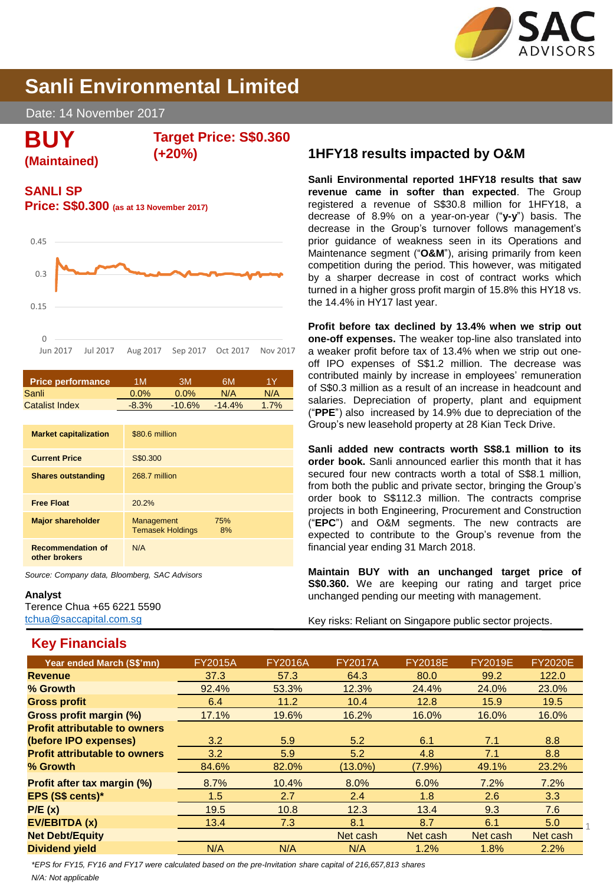

# **Sanli Environmental Limited**

Date: 14 November 2017

**BUY**

**(Maintained)**

**Target Price: S\$0.360**

**(+20%)**

## **SANLI SP**

**Price: S\$0.300 (as at 13 November 2017)**



| Price performance     | 1 M     | ЗM       | 6M.       | 1 V  |
|-----------------------|---------|----------|-----------|------|
| Sanli                 | $0.0\%$ | $0.0\%$  | N/A       | N/A  |
| <b>Catalist Index</b> | $-8.3%$ | $-10.6%$ | $-14.4\%$ | 1.7% |

| <b>Market capitalization</b>              | \$80.6 million                                     |
|-------------------------------------------|----------------------------------------------------|
| <b>Current Price</b>                      | S\$0.300                                           |
| <b>Shares outstanding</b>                 | 268.7 million                                      |
| <b>Free Float</b>                         | 20.2%                                              |
| <b>Major shareholder</b>                  | Management<br>75%<br><b>Temasek Holdings</b><br>8% |
| <b>Recommendation of</b><br>other brokers | N/A                                                |

*Source: Company data, Bloomberg, SAC Advisors*

#### **Analyst**

Terence Chua +65 6221 5590 [tchua@saccapital.com.sg](mailto:tchua@saccapital.com.sg)

## **Key Financials**

## **1HFY18 results impacted by O&M**

**Sanli Environmental reported 1HFY18 results that saw revenue came in softer than expected**. The Group registered a revenue of S\$30.8 million for 1HFY18, a decrease of 8.9% on a year-on-year ("**y-y**") basis. The decrease in the Group's turnover follows management's prior guidance of weakness seen in its Operations and Maintenance segment ("**O&M**"), arising primarily from keen competition during the period. This however, was mitigated by a sharper decrease in cost of contract works which turned in a higher gross profit margin of 15.8% this HY18 vs. the 14.4% in HY17 last year.

**Profit before tax declined by 13.4% when we strip out one-off expenses.** The weaker top-line also translated into a weaker profit before tax of 13.4% when we strip out oneoff IPO expenses of S\$1.2 million. The decrease was contributed mainly by increase in employees' remuneration of S\$0.3 million as a result of an increase in headcount and salaries. Depreciation of property, plant and equipment ("**PPE**") also increased by 14.9% due to depreciation of the Group's new leasehold property at 28 Kian Teck Drive.

**Sanli added new contracts worth S\$8.1 million to its order book.** Sanli announced earlier this month that it has secured four new contracts worth a total of S\$8.1 million, from both the public and private sector, bringing the Group's order book to S\$112.3 million. The contracts comprise projects in both Engineering, Procurement and Construction ("**EPC**") and O&M segments. The new contracts are expected to contribute to the Group's revenue from the financial year ending 31 March 2018.

**Maintain BUY with an unchanged target price of S\$0.360.** We are keeping our rating and target price unchanged pending our meeting with management.

Key risks: Reliant on Singapore public sector projects.

| Year ended March (S\$'mn)            | <b>FY2015A</b> | <b>FY2016A</b> | <b>FY2017A</b> | <b>FY2018E</b> | <b>FY2019E</b> | <b>FY2020E</b> |
|--------------------------------------|----------------|----------------|----------------|----------------|----------------|----------------|
| <b>Revenue</b>                       | 37.3           | 57.3           | 64.3           | 80.0           | 99.2           | 122.0          |
| % Growth                             | 92.4%          | 53.3%          | 12.3%          | 24.4%          | 24.0%          | 23.0%          |
| <b>Gross profit</b>                  | 6.4            | 11.2           | 10.4           | 12.8           | 15.9           | 19.5           |
| Gross profit margin (%)              | 17.1%          | 19.6%          | 16.2%          | 16.0%          | 16.0%          | 16.0%          |
| <b>Profit attributable to owners</b> |                |                |                |                |                |                |
| (before IPO expenses)                | 3.2            | 5.9            | 5.2            | 6.1            | 7.1            | 8.8            |
| <b>Profit attributable to owners</b> | 3.2            | 5.9            | 5.2            | 4.8            | 7.1            | 8.8            |
| % Growth                             | 84.6%          | 82.0%          | $(13.0\%)$     | $(7.9\%)$      | 49.1%          | 23.2%          |
| <b>Profit after tax margin (%)</b>   | 8.7%           | 10.4%          | 8.0%           | 6.0%           | 7.2%           | 7.2%           |
| EPS (S\$ cents)*                     | 1.5            | 2.7            | 2.4            | 1.8            | $2.6\,$        | 3.3            |
| P/E(x)                               | 19.5           | 10.8           | 12.3           | 13.4           | 9.3            | 7.6            |
| EV/EBITDA (x)                        | 13.4           | 7.3            | 8.1            | 8.7            | 6.1            | 5.0            |
| <b>Net Debt/Equity</b>               |                |                | Net cash       | Net cash       | Net cash       | Net cash       |
| <b>Dividend yield</b>                | N/A            | N/A            | N/A            | 1.2%           | 1.8%           | 2.2%           |
|                                      |                |                |                |                |                |                |

*N/A: Not applicable \*EPS for FY15, FY16 and FY17 were calculated based on the pre-Invitation share capital of 216,657,813 shares*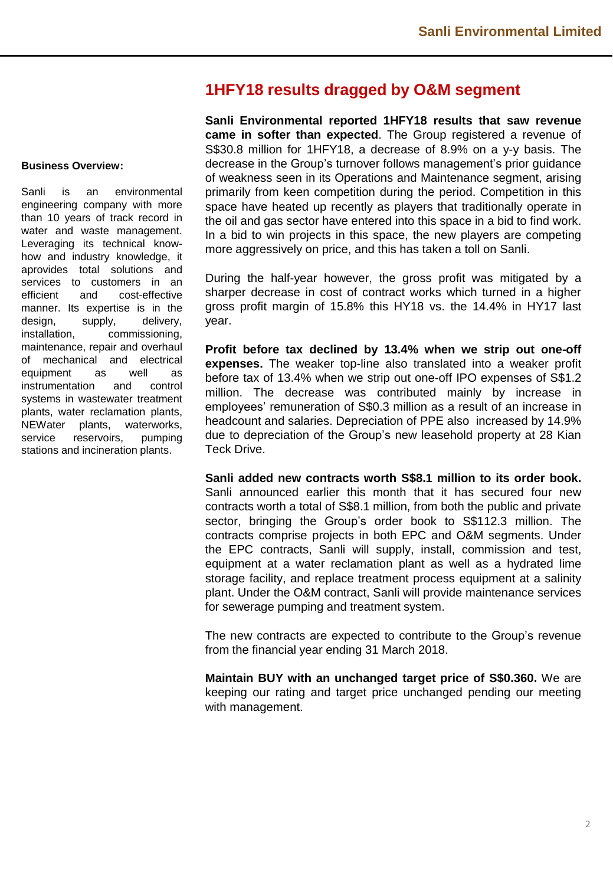## **1HFY18 results dragged by O&M segment**

#### **Business Overview:**

Sanli is an environmental engineering company with more than 10 years of track record in water and waste management. Leveraging its technical knowhow and industry knowledge, it aprovides total solutions and services to customers in an efficient and cost-effective manner. Its expertise is in the design, supply, delivery, installation, commissioning, maintenance, repair and overhaul of mechanical and electrical equipment as well as instrumentation and control systems in wastewater treatment plants, water reclamation plants, NEWater plants, waterworks, service reservoirs, pumping stations and incineration plants.

**Sanli Environmental reported 1HFY18 results that saw revenue came in softer than expected**. The Group registered a revenue of S\$30.8 million for 1HFY18, a decrease of 8.9% on a y-y basis. The decrease in the Group's turnover follows management's prior guidance of weakness seen in its Operations and Maintenance segment, arising primarily from keen competition during the period. Competition in this space have heated up recently as players that traditionally operate in the oil and gas sector have entered into this space in a bid to find work. In a bid to win projects in this space, the new players are competing more aggressively on price, and this has taken a toll on Sanli.

During the half-year however, the gross profit was mitigated by a sharper decrease in cost of contract works which turned in a higher gross profit margin of 15.8% this HY18 vs. the 14.4% in HY17 last year.

**Profit before tax declined by 13.4% when we strip out one-off expenses.** The weaker top-line also translated into a weaker profit before tax of 13.4% when we strip out one-off IPO expenses of S\$1.2 million. The decrease was contributed mainly by increase in employees' remuneration of S\$0.3 million as a result of an increase in headcount and salaries. Depreciation of PPE also increased by 14.9% due to depreciation of the Group's new leasehold property at 28 Kian Teck Drive.

**Sanli added new contracts worth S\$8.1 million to its order book.** Sanli announced earlier this month that it has secured four new contracts worth a total of S\$8.1 million, from both the public and private sector, bringing the Group's order book to S\$112.3 million. The contracts comprise projects in both EPC and O&M segments. Under the EPC contracts, Sanli will supply, install, commission and test, equipment at a water reclamation plant as well as a hydrated lime storage facility, and replace treatment process equipment at a salinity plant. Under the O&M contract, Sanli will provide maintenance services for sewerage pumping and treatment system.

The new contracts are expected to contribute to the Group's revenue from the financial year ending 31 March 2018.

**Maintain BUY with an unchanged target price of S\$0.360.** We are keeping our rating and target price unchanged pending our meeting with management.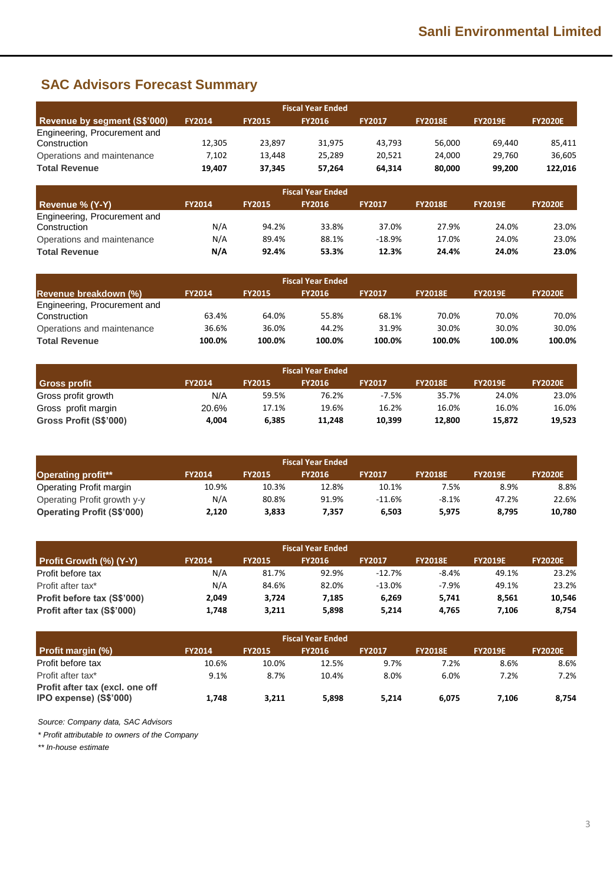# **SAC Advisors Forecast Summary**

|                              |               |               | <b>Fiscal Year Ended</b> |               |                |                |                |
|------------------------------|---------------|---------------|--------------------------|---------------|----------------|----------------|----------------|
| Revenue by segment (S\$'000) | <b>FY2014</b> | <b>FY2015</b> | <b>FY2016</b>            | <b>FY2017</b> | <b>FY2018E</b> | <b>FY2019E</b> | <b>FY2020E</b> |
| Engineering, Procurement and |               |               |                          |               |                |                |                |
| Construction                 | 12.305        | 23,897        | 31,975                   | 43.793        | 56.000         | 69.440         | 85,411         |
| Operations and maintenance   | 7,102         | 13,448        | 25,289                   | 20,521        | 24.000         | 29,760         | 36,605         |
| <b>Total Revenue</b>         | 19,407        | 37,345        | 57,264                   | 64,314        | 80,000         | 99,200         | 122,016        |
|                              |               |               | <b>Fiscal Year Ended</b> |               |                |                |                |
| <b>Revenue % (Y-Y)</b>       | <b>FY2014</b> | <b>FY2015</b> | <b>FY2016</b>            | <b>FY2017</b> | <b>FY2018E</b> | <b>FY2019E</b> | <b>FY2020E</b> |
| Engineering, Procurement and |               |               |                          |               |                |                |                |
|                              |               |               |                          |               |                |                |                |
| Construction                 | N/A           | 94.2%         | 33.8%                    | 37.0%         | 27.9%          | 24.0%          | 23.0%          |
| Operations and maintenance   | N/A           | 89.4%         | 88.1%                    | $-18.9%$      | 17.0%          | 24.0%          | 23.0%          |

| <b>Fiscal Year Ended</b>     |               |               |               |               |                |                |                |  |
|------------------------------|---------------|---------------|---------------|---------------|----------------|----------------|----------------|--|
| Revenue breakdown (%)        | <b>FY2014</b> | <b>FY2015</b> | <b>FY2016</b> | <b>FY2017</b> | <b>FY2018E</b> | <b>FY2019E</b> | <b>FY2020E</b> |  |
| Engineering, Procurement and |               |               |               |               |                |                |                |  |
| Construction                 | 63.4%         | 64.0%         | 55.8%         | 68.1%         | 70.0%          | 70.0%          | 70.0%          |  |
| Operations and maintenance   | 36.6%         | 36.0%         | 44.2%         | 31.9%         | 30.0%          | 30.0%          | 30.0%          |  |
| <b>Total Revenue</b>         | 100.0%        | 100.0%        | 100.0%        | 100.0%        | 100.0%         | 100.0%         | 100.0%         |  |

| <b>Fiscal Year Ended</b> |               |               |               |               |                |                |                |  |  |
|--------------------------|---------------|---------------|---------------|---------------|----------------|----------------|----------------|--|--|
| <b>Gross profit</b>      | <b>FY2014</b> | <b>FY2015</b> | <b>FY2016</b> | <b>FY2017</b> | <b>FY2018E</b> | <b>FY2019E</b> | <b>FY2020E</b> |  |  |
| Gross profit growth      | N/A           | 59.5%         | 76.2%         | $-7.5%$       | 35.7%          | 24.0%          | 23.0%          |  |  |
| Gross profit margin      | 20.6%         | 17.1%         | 19.6%         | 16.2%         | 16.0%          | 16.0%          | 16.0%          |  |  |
| Gross Profit (S\$'000)   | 4,004         | 6,385         | 11,248        | 10,399        | 12,800         | 15,872         | 19,523         |  |  |

| <b>Fiscal Year Ended</b>          |               |               |               |               |                |                |                |  |
|-----------------------------------|---------------|---------------|---------------|---------------|----------------|----------------|----------------|--|
| <b>Operating profit**</b>         | <b>FY2014</b> | <b>FY2015</b> | <b>FY2016</b> | <b>FY2017</b> | <b>FY2018E</b> | <b>FY2019E</b> | <b>FY2020E</b> |  |
| Operating Profit margin           | 10.9%         | 10.3%         | 12.8%         | 10.1%         | 7.5%           | 8.9%           | 8.8%           |  |
| Operating Profit growth y-y       | N/A           | 80.8%         | 91.9%         | $-11.6%$      | $-8.1%$        | 47.2%          | 22.6%          |  |
| <b>Operating Profit (S\$'000)</b> | 2,120         | 3,833         | 7.357         | 6.503         | 5,975          | 8.795          | 10,780         |  |

| <b>Fiscal Year Ended</b>       |               |               |               |               |                |                |                |  |
|--------------------------------|---------------|---------------|---------------|---------------|----------------|----------------|----------------|--|
| <b>Profit Growth (%) (Y-Y)</b> | <b>FY2014</b> | <b>FY2015</b> | <b>FY2016</b> | <b>FY2017</b> | <b>FY2018E</b> | <b>FY2019E</b> | <b>FY2020E</b> |  |
| Profit before tax              | N/A           | 81.7%         | 92.9%         | $-12.7%$      | $-8.4%$        | 49.1%          | 23.2%          |  |
| Profit after tax*              | N/A           | 84.6%         | 82.0%         | $-13.0%$      | $-7.9%$        | 49.1%          | 23.2%          |  |
| Profit before tax (S\$'000)    | 2,049         | 3.724         | 7.185         | 6.269         | 5.741          | 8.561          | 10.546         |  |
| Profit after tax (S\$'000)     | 1,748         | 3,211         | 5.898         | 5.214         | 4.765          | 7.106          | 8,754          |  |

| <b>Fiscal Year Ended</b>                                  |               |               |               |               |                |                |                |  |
|-----------------------------------------------------------|---------------|---------------|---------------|---------------|----------------|----------------|----------------|--|
| <b>Profit margin (%)</b>                                  | <b>FY2014</b> | <b>FY2015</b> | <b>FY2016</b> | <b>FY2017</b> | <b>FY2018E</b> | <b>FY2019E</b> | <b>FY2020E</b> |  |
| Profit before tax                                         | 10.6%         | 10.0%         | 12.5%         | 9.7%          | 7.2%           | 8.6%           | 8.6%           |  |
| Profit after tax*                                         | 9.1%          | 8.7%          | 10.4%         | 8.0%          | 6.0%           | 7.2%           | 7.2%           |  |
| Profit after tax (excl. one off<br>IPO expense) (S\$'000) | 1,748         | 3,211         | 5,898         | 5.214         | 6.075          | 7.106          | 8,754          |  |

*Source: Company data, SAC Advisors*

*\* Profit attributable to owners of the Company*

*\*\* In-house estimate*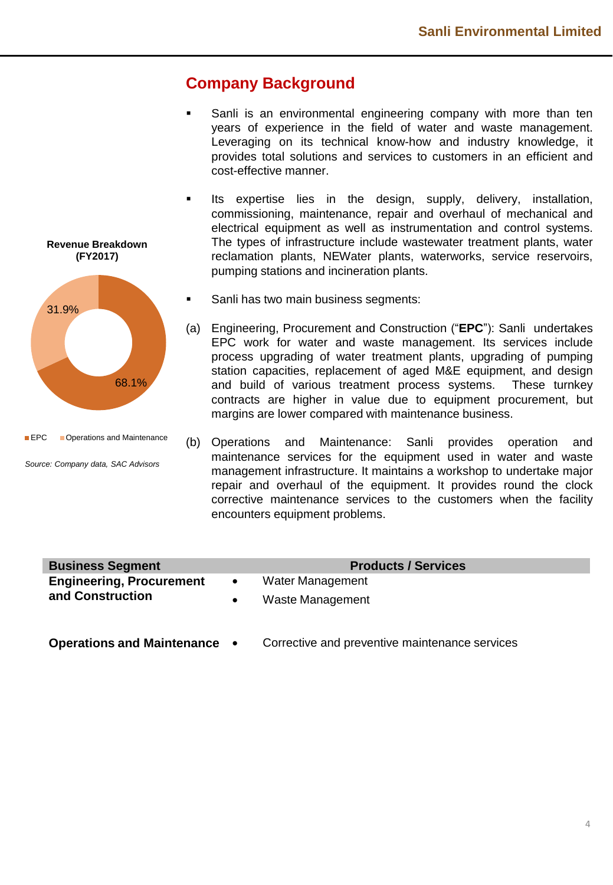## **Company Background**

- Sanli is an environmental engineering company with more than ten years of experience in the field of water and waste management. Leveraging on its technical know-how and industry knowledge, it provides total solutions and services to customers in an efficient and cost-effective manner.
- **■** Its expertise lies in the design, supply, delivery, installation, commissioning, maintenance, repair and overhaul of mechanical and electrical equipment as well as instrumentation and control systems. The types of infrastructure include wastewater treatment plants, water reclamation plants, NEWater plants, waterworks, service reservoirs, pumping stations and incineration plants.
- Sanli has two main business segments:
- (a) Engineering, Procurement and Construction ("**EPC**"): Sanli undertakes EPC work for water and waste management. Its services include process upgrading of water treatment plants, upgrading of pumping station capacities, replacement of aged M&E equipment, and design and build of various treatment process systems. These turnkey contracts are higher in value due to equipment procurement, but margins are lower compared with maintenance business.
- (b) Operations and Maintenance: Sanli provides operation and maintenance services for the equipment used in water and waste management infrastructure. It maintains a workshop to undertake major repair and overhaul of the equipment. It provides round the clock corrective maintenance services to the customers when the facility encounters equipment problems.

| <b>Business Segment</b>         |           | <b>Products / Services</b> |
|---------------------------------|-----------|----------------------------|
| <b>Engineering, Procurement</b> | $\bullet$ | Water Management           |
| and Construction                |           | Waste Management           |
|                                 |           |                            |

**Operations and Maintenance** • Corrective and preventive maintenance services





68.1%

*Source: Company data, SAC Advisors*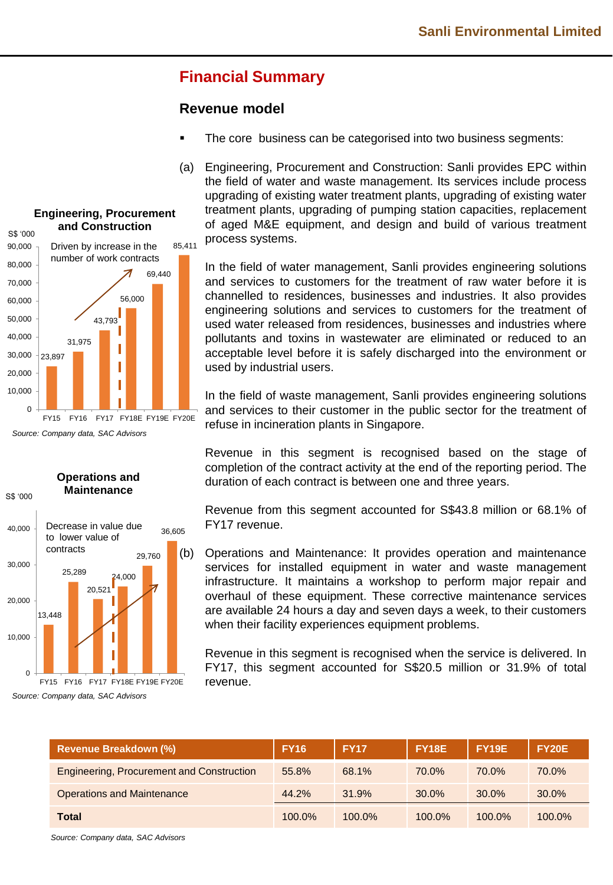# **Financial Summary**

## **Revenue model**

- The core business can be categorised into two business segments:
- (a) Engineering, Procurement and Construction: Sanli provides EPC within the field of water and waste management. Its services include process upgrading of existing water treatment plants, upgrading of existing water treatment plants, upgrading of pumping station capacities, replacement of aged M&E equipment, and design and build of various treatment process systems.

In the field of water management, Sanli provides engineering solutions and services to customers for the treatment of raw water before it is channelled to residences, businesses and industries. It also provides engineering solutions and services to customers for the treatment of used water released from residences, businesses and industries where pollutants and toxins in wastewater are eliminated or reduced to an acceptable level before it is safely discharged into the environment or used by industrial users.

In the field of waste management, Sanli provides engineering solutions and services to their customer in the public sector for the treatment of refuse in incineration plants in Singapore.

Revenue in this segment is recognised based on the stage of completion of the contract activity at the end of the reporting period. The duration of each contract is between one and three years.

Revenue from this segment accounted for S\$43.8 million or 68.1% of FY17 revenue.

(b) Operations and Maintenance: It provides operation and maintenance services for installed equipment in water and waste management infrastructure. It maintains a workshop to perform major repair and overhaul of these equipment. These corrective maintenance services are available 24 hours a day and seven days a week, to their customers when their facility experiences equipment problems.

Revenue in this segment is recognised when the service is delivered. In FY17, this segment accounted for S\$20.5 million or 31.9% of total revenue.

| <b>Revenue Breakdown (%)</b>                     | <b>FY16</b> | <b>FY17</b> | <b>FY18E</b> | FY19E     | <b>FY20E</b> |
|--------------------------------------------------|-------------|-------------|--------------|-----------|--------------|
| <b>Engineering, Procurement and Construction</b> | 55.8%       | 68.1%       | 70.0%        | 70.0%     | 70.0%        |
| <b>Operations and Maintenance</b>                | 44.2%       | 31.9%       | $30.0\%$     | $30.0\%$  | 30.0%        |
| Total                                            | $100.0\%$   | 100.0%      | $100.0\%$    | $100.0\%$ | 100.0%       |

*Source: Company data, SAC Advisors*

#### **Engineering, Procurement and Construction**

S\$ '000





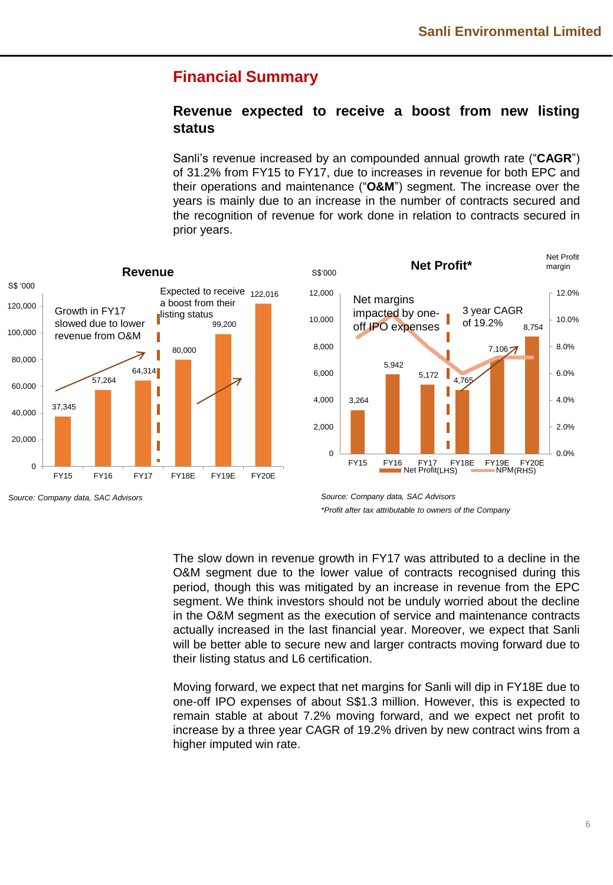## **Financial Summary**

## **Revenue expected to receive a boost from new listing status**

Sanli's revenue increased by an compounded annual growth rate ("**CAGR**") of 31.2% from FY15 to FY17, due to increases in revenue for both EPC and their operations and maintenance ("**O&M**") segment. The increase over the years is mainly due to an increase in the number of contracts secured and the recognition of revenue for work done in relation to contracts secured in prior years.





*Source: Company data, SAC Advisors Source: Company data, SAC Advisors*

The slow down in revenue growth in FY17 was attributed to a decline in the O&M segment due to the lower value of contracts recognised during this period, though this was mitigated by an increase in revenue from the EPC segment. We think investors should not be unduly worried about the decline in the O&M segment as the execution of service and maintenance contracts actually increased in the last financial year. Moreover, we expect that Sanli will be better able to secure new and larger contracts moving forward due to their listing status and L6 certification.

Moving forward, we expect that net margins for Sanli will dip in FY18E due to one-off IPO expenses of about S\$1.3 million. However, this is expected to remain stable at about 7.2% moving forward, and we expect net profit to increase by a three year CAGR of 19.2% driven by new contract wins from a higher imputed win rate.

*<sup>\*</sup>Profit after tax attributable to owners of the Company*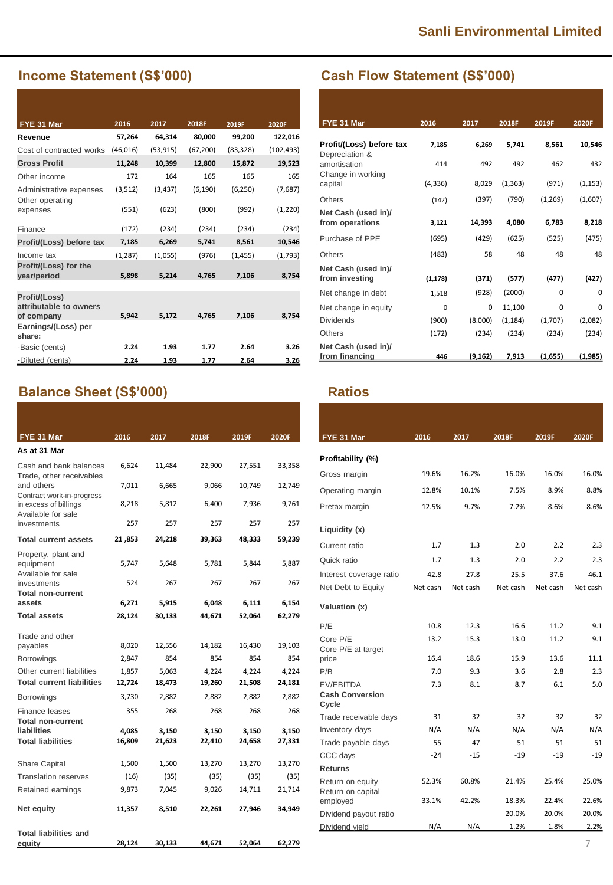## **Income Statement (S\$'000)**

| FYE 31 Mar                                            | 2016      | 2017      | 2018F     | 2019F     | 2020F      |
|-------------------------------------------------------|-----------|-----------|-----------|-----------|------------|
| Revenue                                               | 57,264    | 64,314    | 80,000    | 99,200    | 122,016    |
| Cost of contracted works                              | (46, 016) | (53, 915) | (67, 200) | (83, 328) | (102, 493) |
| <b>Gross Profit</b>                                   | 11,248    | 10,399    | 12,800    | 15,872    | 19,523     |
| Other income                                          | 172       | 164       | 165       | 165       | 165        |
| Administrative expenses<br>Other operating            | (3,512)   | (3, 437)  | (6, 190)  | (6, 250)  | (7,687)    |
| expenses                                              | (551)     | (623)     | (800)     | (992)     | (1,220)    |
| Finance                                               | (172)     | (234)     | (234)     | (234)     | (234)      |
| Profit/(Loss) before tax                              | 7,185     | 6,269     | 5,741     | 8,561     | 10,546     |
| Income tax                                            | (1, 287)  | (1,055)   | (976)     | (1, 455)  | (1,793)    |
| Profit/(Loss) for the<br>year/period                  | 5,898     | 5,214     | 4,765     | 7,106     | 8,754      |
| Profit/(Loss)<br>attributable to owners<br>of company | 5,942     | 5,172     | 4,765     | 7,106     | 8,754      |
| Earnings/(Loss) per<br>share:                         |           |           |           |           |            |
| -Basic (cents)                                        | 2.24      | 1.93      | 1.77      | 2.64      | 3.26       |
| -Diluted (cents)                                      | 2.24      | 1.93      | 1.77      | 2.64      | 3.26       |

# **Balance Sheet (S\$'000) Ratios**

| FYE 31 Mar                                                          | 2016            | 2017            | 2018F           | 2019F           | 2020F           |
|---------------------------------------------------------------------|-----------------|-----------------|-----------------|-----------------|-----------------|
| As at 31 Mar                                                        |                 |                 |                 |                 |                 |
| Cash and bank balances<br>Trade, other receivables                  | 6,624           | 11,484          | 22,900          | 27,551          | 33,358          |
| and others<br>Contract work-in-progress                             | 7,011           | 6,665           | 9,066           | 10,749          | 12,749          |
| in excess of billings<br>Available for sale                         | 8,218           | 5,812           | 6,400           | 7,936           | 9,761           |
| investments                                                         | 257             | 257             | 257             | 257             | 257             |
| <b>Total current assets</b>                                         | 21,853          | 24,218          | 39,363          | 48,333          | 59,239          |
| Property, plant and<br>equipment<br>Available for sale              | 5,747           | 5,648           | 5,781           | 5,844           | 5,887           |
| investments<br>Total non-current                                    | 524             | 267             | 267             | 267             | 267             |
| assets                                                              | 6,271           | 5,915           | 6,048           | 6,111           | 6,154           |
| <b>Total assets</b>                                                 | 28,124          | 30,133          | 44,671          | 52,064          | 62,279          |
| Trade and other<br>payables                                         | 8,020           | 12,556          | 14,182          | 16,430          | 19,103          |
| <b>Borrowings</b>                                                   | 2,847           | 854             | 854             | 854             | 854             |
| Other current liabilities<br><b>Total current liabilities</b>       | 1,857<br>12,724 | 5,063<br>18,473 | 4,224<br>19,260 | 4,224<br>21,508 | 4,224<br>24,181 |
| Borrowings                                                          | 3,730           | 2,882           | 2,882           | 2,882           | 2,882           |
| Finance leases                                                      | 355             | 268             | 268             | 268             | 268             |
| <b>Total non-current</b><br>liabilities<br><b>Total liabilities</b> | 4,085<br>16,809 | 3,150<br>21,623 | 3,150<br>22,410 | 3,150<br>24,658 | 3,150<br>27,331 |
| Share Capital                                                       | 1,500           | 1,500           | 13,270          | 13,270          | 13,270          |
| <b>Translation reserves</b>                                         | (16)            | (35)            | (35)            | (35)            | (35)            |
| Retained earnings                                                   | 9,873           | 7,045           | 9,026           | 14,711          | 21,714          |
| Net equity                                                          | 11,357          | 8,510           | 22,261          | 27,946          | 34,949          |
| <b>Total liabilities and</b><br><u>equ</u> ity                      | 28,124          | 30,133          | 44,671          | 52,064          | 62,279          |

# **Cash Flow Statement (S\$'000)**

| FYE 31 Mar                                 | 2016     | 2017     | 2018F    | 2019F   | 2020F    |
|--------------------------------------------|----------|----------|----------|---------|----------|
| Profit/(Loss) before tax<br>Depreciation & | 7,185    | 6.269    | 5,741    | 8,561   | 10,546   |
| amortisation<br>Change in working          | 414      | 492      | 492      | 462     | 432      |
| capital                                    | (4, 336) | 8,029    | (1, 363) | (971)   | (1, 153) |
| <b>Others</b>                              | (142)    | (397)    | (790)    | (1,269) | (1,607)  |
| Net Cash (used in)/<br>from operations     | 3,121    | 14,393   | 4,080    | 6,783   | 8,218    |
| Purchase of PPE                            | (695)    | (429)    | (625)    | (525)   | (475)    |
| Others                                     | (483)    | 58       | 48       | 48      | 48       |
| Net Cash (used in)/<br>from investing      | (1, 178) | (371)    | (577)    | (477)   | (427)    |
| Net change in debt                         | 1,518    | (928)    | (2000)   | 0       | 0        |
| Net change in equity                       | 0        | 0        | 11,100   | 0       | 0        |
| <b>Dividends</b>                           | (900)    | (8.000)  | (1, 184) | (1,707) | (2,082)  |
| <b>Others</b>                              | (172)    | (234)    | (234)    | (234)   | (234)    |
| Net Cash (used in)/<br>from financing      | 446      | (9, 162) | 7,913    | (1,655) | (1,985)  |

| FYE 31 Mar                                          | 2016     | 2017     | 2018F    | 2019F    | 2020F    |
|-----------------------------------------------------|----------|----------|----------|----------|----------|
| Profitability (%)                                   |          |          |          |          |          |
| Gross margin                                        | 19.6%    | 16.2%    | 16.0%    | 16.0%    | 16.0%    |
| Operating margin                                    | 12.8%    | 10.1%    | 7.5%     | 8.9%     | 8.8%     |
| Pretax margin                                       | 12.5%    | 9.7%     | 7.2%     | 8.6%     | 8.6%     |
| Liquidity (x)                                       |          |          |          |          |          |
| Current ratio                                       | 1.7      | 1.3      | 2.0      | 2.2      | 2.3      |
| Quick ratio                                         | 1.7      | 1.3      | 2.0      | 2.2      | 2.3      |
| Interest coverage ratio                             | 42.8     | 27.8     | 25.5     | 37.6     | 46.1     |
| Net Debt to Equity                                  | Net cash | Net cash | Net cash | Net cash | Net cash |
| Valuation (x)                                       |          |          |          |          |          |
| P/E                                                 | 10.8     | 12.3     | 16.6     | 11.2     | 9.1      |
| Core P/E<br>Core P/E at target                      | 13.2     | 15.3     | 13.0     | 11.2     | 9.1      |
| price                                               | 16.4     | 18.6     | 15.9     | 13.6     | 11.1     |
| P/B                                                 | 7.0      | 9.3      | 3.6      | 2.8      | 2.3      |
| <b>EV/EBITDA</b><br><b>Cash Conversion</b><br>Cycle | 7.3      | 8.1      | 8.7      | 6.1      | 5.0      |
| Trade receivable days                               | 31       | 32       | 32       | 32       | 32       |
| Inventory days                                      | N/A      | N/A      | N/A      | N/A      | N/A      |
| Trade payable days                                  | 55       | 47       | 51       | 51       | 51       |
| CCC days                                            | $-24$    | $-15$    | $-19$    | -19      | -19      |
| <b>Returns</b>                                      |          |          |          |          |          |
| Return on equity<br>Return on capital               | 52.3%    | 60.8%    | 21.4%    | 25.4%    | 25.0%    |
| employed                                            | 33.1%    | 42.2%    | 18.3%    | 22.4%    | 22.6%    |
| Dividend payout ratio                               |          |          | 20.0%    | 20.0%    | 20.0%    |
| Dividend yield                                      | N/A      | N/A      | 1.2%     | 1.8%     | 2.2%     |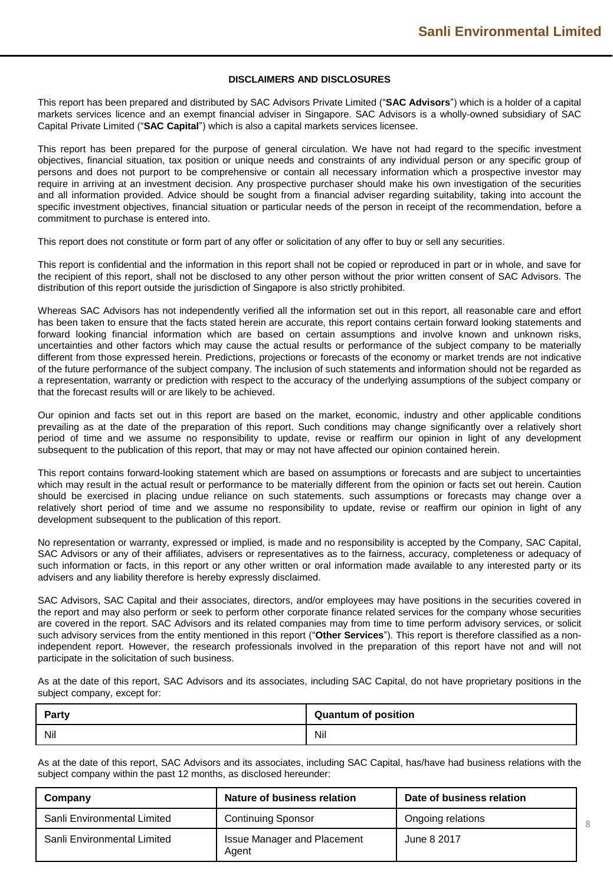8

#### **DISCLAIMERS AND DISCLOSURES**

This report has been prepared and distributed by SAC Advisors Private Limited ("**SAC Advisors**") which is a holder of a capital markets services licence and an exempt financial adviser in Singapore. SAC Advisors is a wholly-owned subsidiary of SAC Capital Private Limited ("**SAC Capital**") which is also a capital markets services licensee.

This report has been prepared for the purpose of general circulation. We have not had regard to the specific investment objectives, financial situation, tax position or unique needs and constraints of any individual person or any specific group of persons and does not purport to be comprehensive or contain all necessary information which a prospective investor may require in arriving at an investment decision. Any prospective purchaser should make his own investigation of the securities and all information provided. Advice should be sought from a financial adviser regarding suitability, taking into account the specific investment objectives, financial situation or particular needs of the person in receipt of the recommendation, before a commitment to purchase is entered into.

This report does not constitute or form part of any offer or solicitation of any offer to buy or sell any securities.

This report is confidential and the information in this report shall not be copied or reproduced in part or in whole, and save for the recipient of this report, shall not be disclosed to any other person without the prior written consent of SAC Advisors. The distribution of this report outside the jurisdiction of Singapore is also strictly prohibited.

Whereas SAC Advisors has not independently verified all the information set out in this report, all reasonable care and effort has been taken to ensure that the facts stated herein are accurate, this report contains certain forward looking statements and forward looking financial information which are based on certain assumptions and involve known and unknown risks, uncertainties and other factors which may cause the actual results or performance of the subject company to be materially different from those expressed herein. Predictions, projections or forecasts of the economy or market trends are not indicative of the future performance of the subject company. The inclusion of such statements and information should not be regarded as a representation, warranty or prediction with respect to the accuracy of the underlying assumptions of the subject company or that the forecast results will or are likely to be achieved.

Our opinion and facts set out in this report are based on the market, economic, industry and other applicable conditions prevailing as at the date of the preparation of this report. Such conditions may change significantly over a relatively short period of time and we assume no responsibility to update, revise or reaffirm our opinion in light of any development subsequent to the publication of this report, that may or may not have affected our opinion contained herein.

This report contains forward-looking statement which are based on assumptions or forecasts and are subject to uncertainties which may result in the actual result or performance to be materially different from the opinion or facts set out herein. Caution should be exercised in placing undue reliance on such statements. such assumptions or forecasts may change over a relatively short period of time and we assume no responsibility to update, revise or reaffirm our opinion in light of any development subsequent to the publication of this report.

No representation or warranty, expressed or implied, is made and no responsibility is accepted by the Company, SAC Capital, SAC Advisors or any of their affiliates, advisers or representatives as to the fairness, accuracy, completeness or adequacy of such information or facts, in this report or any other written or oral information made available to any interested party or its advisers and any liability therefore is hereby expressly disclaimed.

SAC Advisors, SAC Capital and their associates, directors, and/or employees may have positions in the securities covered in the report and may also perform or seek to perform other corporate finance related services for the company whose securities are covered in the report. SAC Advisors and its related companies may from time to time perform advisory services, or solicit such advisory services from the entity mentioned in this report ("**Other Services**"). This report is therefore classified as a nonindependent report. However, the research professionals involved in the preparation of this report have not and will not participate in the solicitation of such business.

As at the date of this report, SAC Advisors and its associates, including SAC Capital, do not have proprietary positions in the subject company, except for:

| Party | <b>Quantum of position</b> |
|-------|----------------------------|
| Nil   | Nil                        |

As at the date of this report, SAC Advisors and its associates, including SAC Capital, has/have had business relations with the subject company within the past 12 months, as disclosed hereunder:

| Company                     | Nature of business relation                 | Date of business relation |
|-----------------------------|---------------------------------------------|---------------------------|
| Sanli Environmental Limited | <b>Continuing Sponsor</b>                   | Ongoing relations         |
| Sanli Environmental Limited | <b>Issue Manager and Placement</b><br>Agent | June 8 2017               |